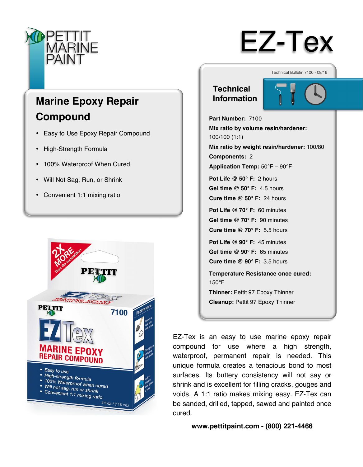

# EZ-Tex

## **Marine Epoxy Repair Compound**

- Easy to Use Epoxy Repair Compound
- High-Strength Formula
- 100% Waterproof When Cured
- Will Not Sag, Run, or Shrink
- Convenient 1:1 mixing ratio



## **Technical**

**Information**



Technical Bulletin 7100 - 08/16

**Part Number:** 7100 **Mix ratio by volume resin/hardener:**  100/100 (1:1) **Mix ratio by weight resin/hardener:** 100/80 **Components:** 2 **Application Temp:** 50°F – 90°F **Pot Life @ 50° F:** 2 hours **Gel time @ 50° F:** 4.5 hours **Cure time @ 50° F:** 24 hours **Pot Life @ 70° F:** 60 minutes **Gel time @ 70° F:** 90 minutes **Cure time @ 70° F:** 5.5 hours **Pot Life @ 90° F:** 45 minutes **Gel time @ 90° F:** 65 minutes **Cure time @ 90° F:** 3.5 hours **Temperature Resistance once cured:** 

**Thinner:** Pettit 97 Epoxy Thinner **Cleanup:** Pettit 97 Epoxy Thinner

150°F

EZ-Tex is an easy to use marine epoxy repair compound for use where a high strength, waterproof, permanent repair is needed. This unique formula creates a tenacious bond to most surfaces. Its buttery consistency will not say or shrink and is excellent for filling cracks, gouges and voids. A 1:1 ratio makes mixing easy. EZ-Tex can be sanded, drilled, tapped, sawed and painted once cured.

**www.pettitpaint.com - (800) 221-4466**